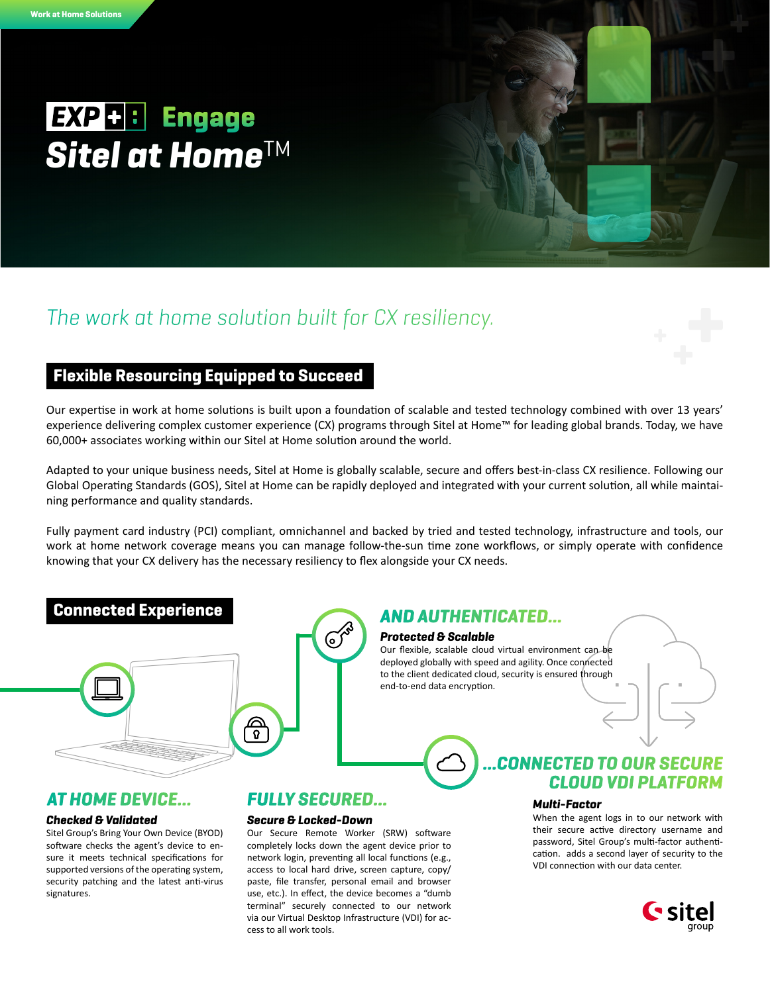# EXP+: Engage **Sitel at Home™**

# *The work at home solution built for CX resiliency.*

# Flexible Resourcing Equipped to Succeed

Our expertise in work at home solutions is built upon a foundation of scalable and tested technology combined with over 13 years' experience delivering complex customer experience (CX) programs through Sitel at Home™ for leading global brands. Today, we have 60,000+ associates working within our Sitel at Home solution around the world.

Adapted to your unique business needs, Sitel at Home is globally scalable, secure and offers best-in-class CX resilience. Following our Global Operating Standards (GOS), Sitel at Home can be rapidly deployed and integrated with your current solution, all while maintaining performance and quality standards.

Fully payment card industry (PCI) compliant, omnichannel and backed by tried and tested technology, infrastructure and tools, our work at home network coverage means you can manage follow-the-sun time zone workflows, or simply operate with confidence knowing that your CX delivery has the necessary resiliency to flex alongside your CX needs.

# Connected Experience



## *AT HOME DEVICE... FULLY SECURED…*

### *Checked & Validated*

Sitel Group's Bring Your Own Device (BYOD) software checks the agent's device to ensure it meets technical specifications for supported versions of the operating system, security patching and the latest anti-virus signatures.

(ە)

### *Protected & Scalable AND AUTHENTICATED…*

Our flexible, scalable cloud virtual environment can be deployed globally with speed and agility. Once connected to the client dedicated cloud, security is ensured through end-to-end data encryption.

# *…CONNECTED TO OUR SECURE CLOUD VDI PLATFORM*

### *Multi-Factor*

When the agent logs in to our network with their secure active directory username and password, Sitel Group's multi-factor authentication. adds a second layer of security to the VDI connection with our data center.



#### *Secure & Locked-Down*

Our Secure Remote Worker (SRW) software completely locks down the agent device prior to network login, preventing all local functions (e.g., access to local hard drive, screen capture, copy/ paste, file transfer, personal email and browser use, etc.). In effect, the device becomes a "dumb terminal" securely connected to our network via our Virtual Desktop Infrastructure (VDI) for access to all work tools.